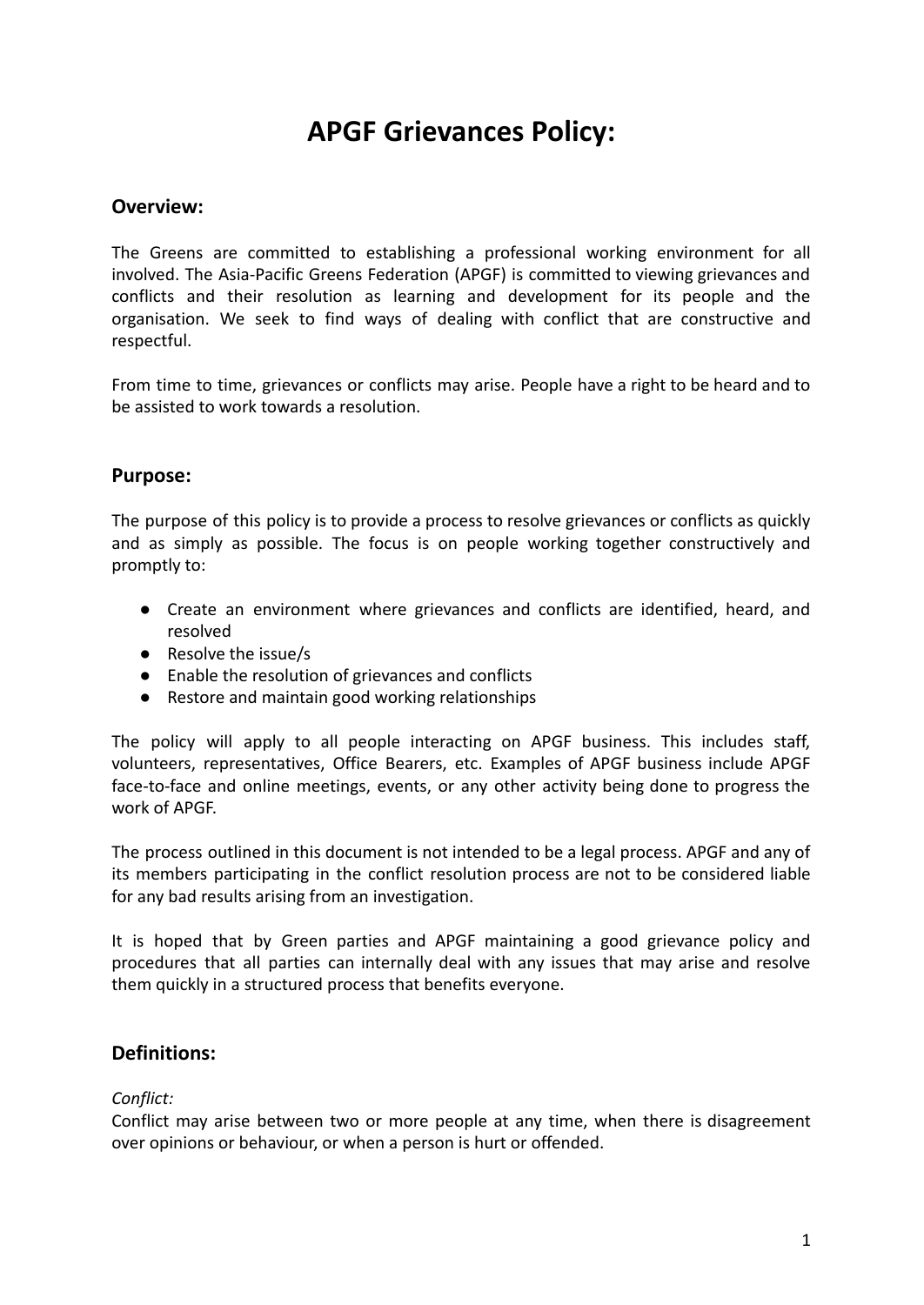# **APGF Grievances Policy:**

## **Overview:**

The Greens are committed to establishing a professional working environment for all involved. The Asia-Pacific Greens Federation (APGF) is committed to viewing grievances and conflicts and their resolution as learning and development for its people and the organisation. We seek to find ways of dealing with conflict that are constructive and respectful.

From time to time, grievances or conflicts may arise. People have a right to be heard and to be assisted to work towards a resolution.

## **Purpose:**

The purpose of this policy is to provide a process to resolve grievances or conflicts as quickly and as simply as possible. The focus is on people working together constructively and promptly to:

- Create an environment where grievances and conflicts are identified, heard, and resolved
- Resolve the issue/s
- Enable the resolution of grievances and conflicts
- Restore and maintain good working relationships

The policy will apply to all people interacting on APGF business. This includes staff, volunteers, representatives, Office Bearers, etc. Examples of APGF business include APGF face-to-face and online meetings, events, or any other activity being done to progress the work of APGF.

The process outlined in this document is not intended to be a legal process. APGF and any of its members participating in the conflict resolution process are not to be considered liable for any bad results arising from an investigation.

It is hoped that by Green parties and APGF maintaining a good grievance policy and procedures that all parties can internally deal with any issues that may arise and resolve them quickly in a structured process that benefits everyone.

#### **Definitions:**

#### *Conflict:*

Conflict may arise between two or more people at any time, when there is disagreement over opinions or behaviour, or when a person is hurt or offended.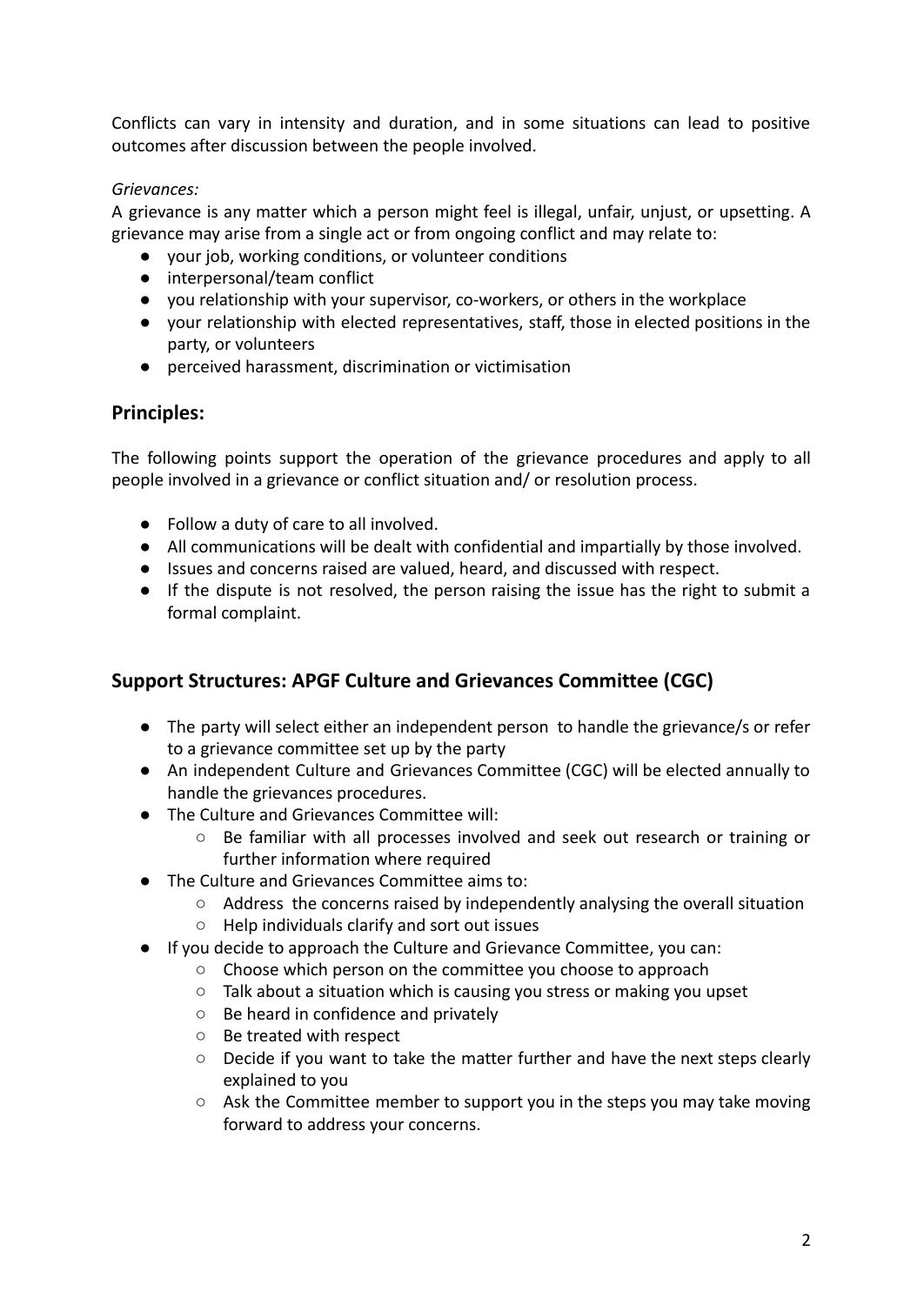Conflicts can vary in intensity and duration, and in some situations can lead to positive outcomes after discussion between the people involved.

## *Grievances:*

A grievance is any matter which a person might feel is illegal, unfair, unjust, or upsetting. A grievance may arise from a single act or from ongoing conflict and may relate to:

- your job, working conditions, or volunteer conditions
- interpersonal/team conflict
- you relationship with your supervisor, co-workers, or others in the workplace
- your relationship with elected representatives, staff, those in elected positions in the party, or volunteers
- perceived harassment, discrimination or victimisation

## **Principles:**

The following points support the operation of the grievance procedures and apply to all people involved in a grievance or conflict situation and/ or resolution process.

- Follow a duty of care to all involved.
- All communications will be dealt with confidential and impartially by those involved.
- Issues and concerns raised are valued, heard, and discussed with respect.
- If the dispute is not resolved, the person raising the issue has the right to submit a formal complaint.

## **Support Structures: APGF Culture and Grievances Committee (CGC)**

- The party will select either an independent person to handle the grievance/s or refer to a grievance committee set up by the party
- An independent Culture and Grievances Committee (CGC) will be elected annually to handle the grievances procedures.
- The Culture and Grievances Committee will:
	- Be familiar with all processes involved and seek out research or training or further information where required
- The Culture and Grievances Committee aims to:
	- Address the concerns raised by independently analysing the overall situation
	- Help individuals clarify and sort out issues
- If you decide to approach the Culture and Grievance Committee, you can:
	- Choose which person on the committee you choose to approach
	- Talk about a situation which is causing you stress or making you upset
	- Be heard in confidence and privately
	- Be treated with respect
	- Decide if you want to take the matter further and have the next steps clearly explained to you
	- Ask the Committee member to support you in the steps you may take moving forward to address your concerns.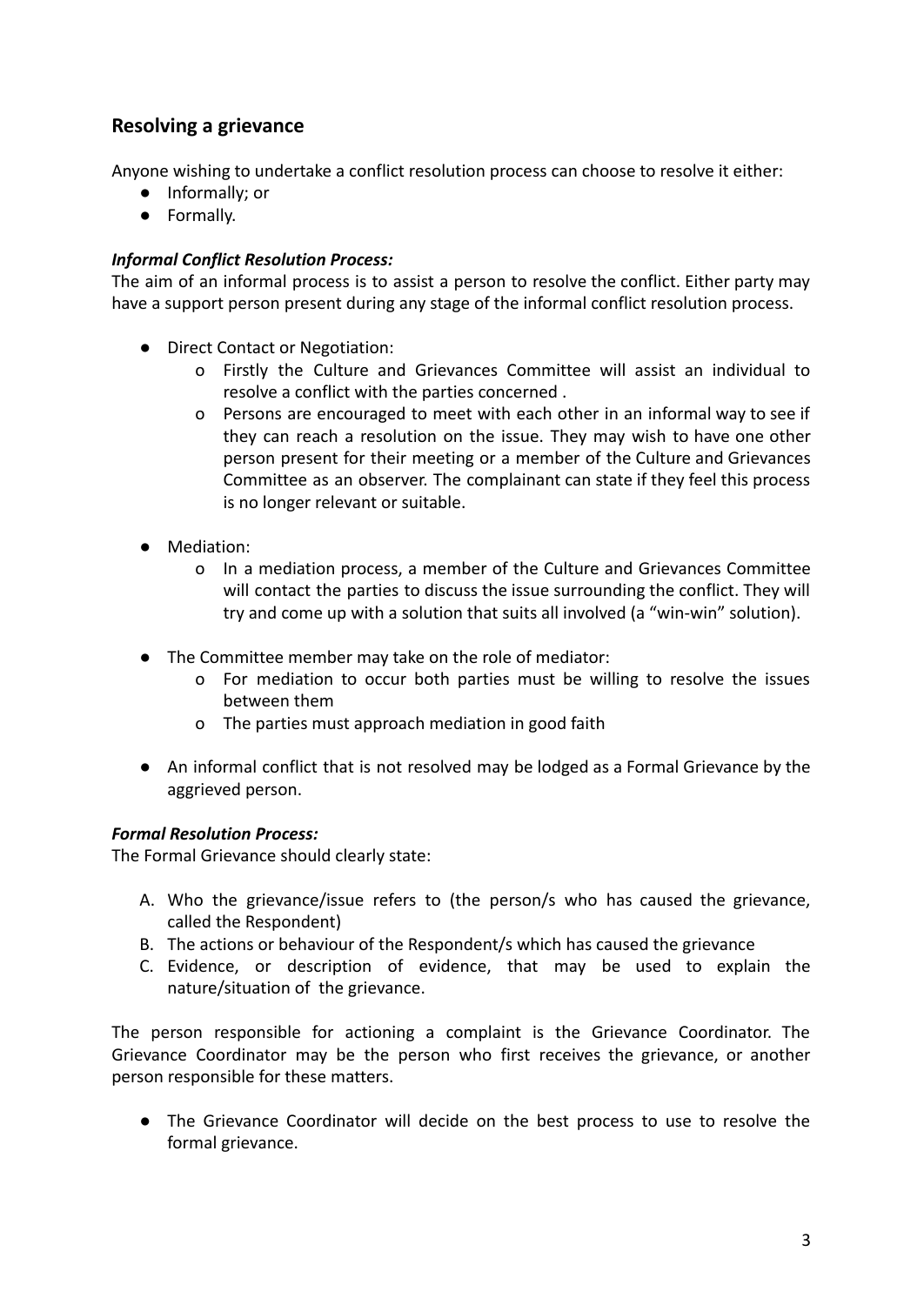## **Resolving a grievance**

Anyone wishing to undertake a conflict resolution process can choose to resolve it either:

- Informally; or
- Formally.

#### *Informal Conflict Resolution Process:*

The aim of an informal process is to assist a person to resolve the conflict. Either party may have a support person present during any stage of the informal conflict resolution process.

- Direct Contact or Negotiation:
	- o Firstly the Culture and Grievances Committee will assist an individual to resolve a conflict with the parties concerned .
	- o Persons are encouraged to meet with each other in an informal way to see if they can reach a resolution on the issue. They may wish to have one other person present for their meeting or a member of the Culture and Grievances Committee as an observer. The complainant can state if they feel this process is no longer relevant or suitable.
- Mediation:
	- o In a mediation process, a member of the Culture and Grievances Committee will contact the parties to discuss the issue surrounding the conflict. They will try and come up with a solution that suits all involved (a "win-win" solution).
- The Committee member may take on the role of mediator:
	- o For mediation to occur both parties must be willing to resolve the issues between them
	- o The parties must approach mediation in good faith
- An informal conflict that is not resolved may be lodged as a Formal Grievance by the aggrieved person.

#### *Formal Resolution Process:*

The Formal Grievance should clearly state:

- A. Who the grievance/issue refers to (the person/s who has caused the grievance, called the Respondent)
- B. The actions or behaviour of the Respondent/s which has caused the grievance
- C. Evidence, or description of evidence, that may be used to explain the nature/situation of the grievance.

The person responsible for actioning a complaint is the Grievance Coordinator. The Grievance Coordinator may be the person who first receives the grievance, or another person responsible for these matters.

● The Grievance Coordinator will decide on the best process to use to resolve the formal grievance.